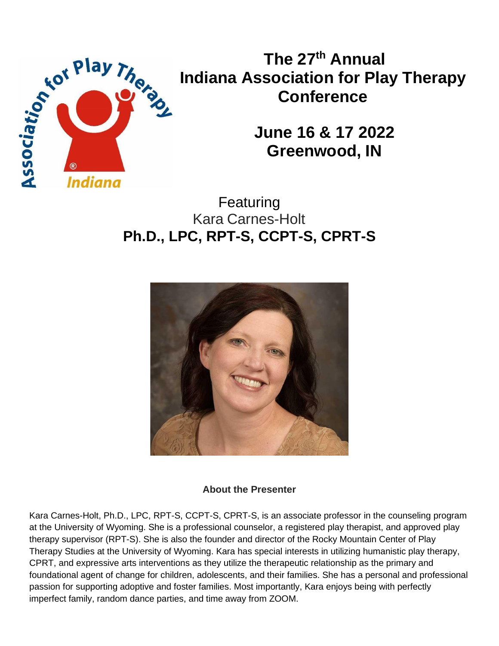

**The 27th Annual Indiana Association for Play Therapy Conference**

> **June 16 & 17 2022 Greenwood, IN**

Featuring Kara Carnes-Holt **Ph.D., LPC, RPT-S, CCPT-S, CPRT-S**



# **About the Presenter**

Kara Carnes-Holt, Ph.D., LPC, RPT-S, CCPT-S, CPRT-S, is an associate professor in the counseling program at the University of Wyoming. She is a professional counselor, a registered play therapist, and approved play therapy supervisor (RPT-S). She is also the founder and director of the Rocky Mountain Center of Play Therapy Studies at the University of Wyoming. Kara has special interests in utilizing humanistic play therapy, CPRT, and expressive arts interventions as they utilize the therapeutic relationship as the primary and foundational agent of change for children, adolescents, and their families. She has a personal and professional passion for supporting adoptive and foster families. Most importantly, Kara enjoys being with perfectly imperfect family, random dance parties, and time away from ZOOM.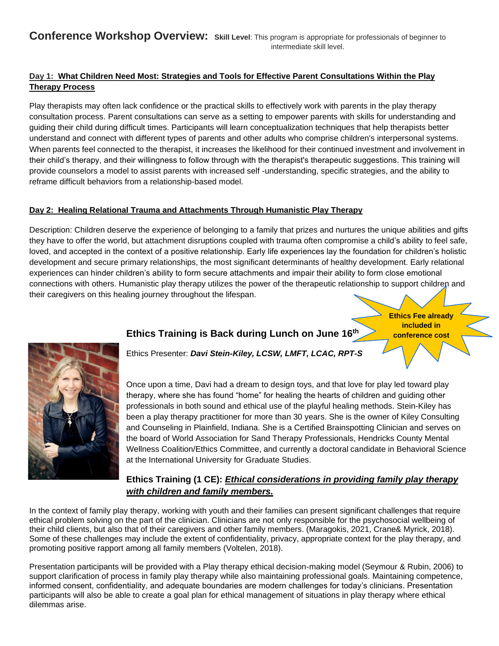## **Day 1: What Children Need Most: Strategies and Tools for Effective Parent Consultations Within the Play Therapy Process**

Play therapists may often lack confidence or the practical skills to effectively work with parents in the play therapy consultation process. Parent consultations can serve as a setting to empower parents with skills for understanding and guiding their child during difficult times. Participants will learn conceptualization techniques that help therapists better understand and connect with different types of parents and other adults who comprise children's interpersonal systems. When parents feel connected to the therapist, it increases the likelihood for their continued investment and involvement in their child's therapy, and their willingness to follow through with the therapist's therapeutic suggestions. This training will provide counselors a model to assist parents with increased self -understanding, specific strategies, and the ability to reframe difficult behaviors from a relationship-based model.

### **Day 2: Healing Relational Trauma and Attachments Through Humanistic Play Therapy**

Description: Children deserve the experience of belonging to a family that prizes and nurtures the unique abilities and gifts they have to offer the world, but attachment disruptions coupled with trauma often compromise a child's ability to feel safe, loved, and accepted in the context of a positive relationship. Early life experiences lay the foundation for children's holistic development and secure primary relationships, the most significant determinants of healthy development. Early relational experiences can hinder children's ability to form secure attachments and impair their ability to form close emotional connections with others. Humanistic play therapy utilizes the power of the therapeutic relationship to support children and their caregivers on this healing journey throughout the lifespan.

> **Ethics Fee already included in conference cost**



Ethics Presenter: *Davi Stein-Kiley, LCSW, LMFT, LCAC, RPT-S*

**Ethics Training is Back during Lunch on June 16th**

Once upon a time, Davi had a dream to design toys, and that love for play led toward play therapy, where she has found "home" for healing the hearts of children and guiding other professionals in both sound and ethical use of the playful healing methods. Stein-Kiley has been a play therapy practitioner for more than 30 years. She is the owner of Kiley Consulting and Counseling in Plainfield, Indiana. She is a Certified Brainspotting Clinician and serves on the board of World Association for Sand Therapy Professionals, Hendricks County Mental Wellness Coalition/Ethics Committee, and currently a doctoral candidate in Behavioral Science at the International University for Graduate Studies.

## **Ethics Training (1 CE):** *Ethical considerations in providing family play therapy with children and family members.*

In the context of family play therapy, working with youth and their families can present significant challenges that require ethical problem solving on the part of the clinician. Clinicians are not only responsible for the psychosocial wellbeing of their child clients, but also that of their caregivers and other family members. (Maragokis, 2021, Crane& Myrick, 2018). Some of these challenges may include the extent of confidentiality, privacy, appropriate context for the play therapy, and promoting positive rapport among all family members (Voltelen, 2018).

Presentation participants will be provided with a Play therapy ethical decision-making model (Seymour & Rubin, 2006) to support clarification of process in family play therapy while also maintaining professional goals. Maintaining competence, informed consent, confidentiality, and adequate boundaries are modern challenges for today's clinicians. Presentation participants will also be able to create a goal plan for ethical management of situations in play therapy where ethical dilemmas arise.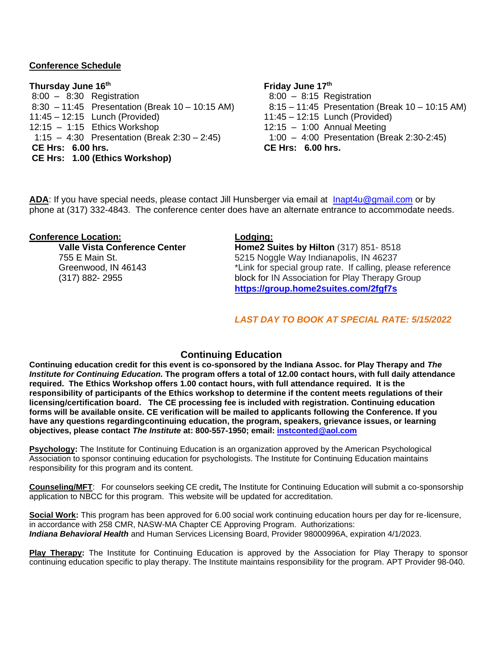## **Conference Schedule**

### **Thursday June 16th Friday June 17th**

8:00 – 8:30 Registration 8:00 – 8:15 Registration 8:30 – 11:45 Presentation (Break 10 – 10:15 AM) 8:15 – 11:45 Presentation (Break 10 – 10:15 AM) 11:45 – 12:15 Lunch (Provided) 11:45 – 12:15 Lunch (Provided) 12:15 – 1:15 Ethics Workshop 12:15 – 1:00 Annual Meeting 1:15 – 4:30 Presentation (Break 2:30 – 2:45) 1:00 – 4:00 Presentation (Break 2:30-2:45) **CE Hrs: 6.00 hrs. CE Hrs: 6.00 hrs. CE Hrs: 1.00 (Ethics Workshop)**

**ADA**: If you have special needs, please contact Jill Hunsberger via email at [Inapt4u@gmail.com](mailto:jehunsberger@sbcglobal.net) or by phone at (317) 332-4843. The conference center does have an alternate entrance to accommodate needs.

### **Conference Location: Lodging:**

**Valle Vista Conference Center Home2 Suites by Hilton** (317) 851-8518 755 E Main St.  $\frac{5215 \text{ Noggle Way}}{2}$  May Indianapolis, IN 46237 Greenwood, IN 46143 **Example 20** \*Link for special group rate. If calling, please reference (317) 882- 2955 block for IN Association for Play Therapy Group **<https://group.home2suites.com/2fgf7s>**

### *LAST DAY TO BOOK AT SPECIAL RATE: 5/15/2022*

## **Continuing Education**

**Continuing education credit for this event is co-sponsored by the Indiana Assoc. for Play Therapy and** *The* Institute for Continuing Education. The program offers a total of 12.00 contact hours, with full daily attendance **required. The Ethics Workshop offers 1.00 contact hours, with full attendance required. It is the responsibility of participants of the Ethics workshop to determine if the content meets regulations of their licensing/certification board. The CE processing fee is included with registration. Continuing education forms will be available onsite. CE verification will be mailed to applicants following the Conference. If you have any questions regardingcontinuing education, the program, speakers, grievance issues, or learning objectives, please contact** *The Institute* **at: 800-557-1950; email: [instconted@aol.com](mailto:instconted@aol.com)**

**Psychology:** The Institute for Continuing Education is an organization approved by the American Psychological Association to sponsor continuing education for psychologists. The Institute for Continuing Education maintains responsibility for this program and its content.

**Counseling/MFT**: For counselors seeking CE credit**,** The Institute for Continuing Education will submit a co-sponsorship application to NBCC for this program. This website will be updated for accreditation.

**Social Work:** This program has been approved for 6.00 social work continuing education hours per day for re-licensure, in accordance with 258 CMR, NASW-MA Chapter CE Approving Program. Authorizations: *Indiana Behavioral Health* and Human Services Licensing Board, Provider 98000996A, expiration 4/1/2023.

**Play Therapy:** The Institute for Continuing Education is approved by the Association for Play Therapy to sponsor continuing education specific to play therapy. The Institute maintains responsibility for the program. APT Provider 98-040.